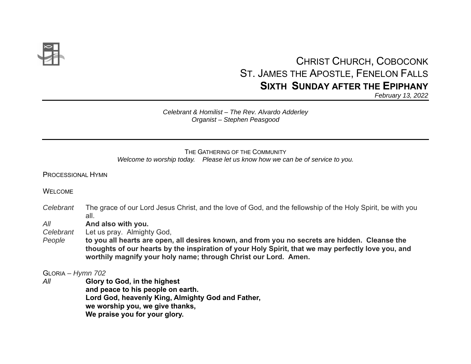

# CHRIST CHURCH, COBOCONK ST. JAMES THE APOSTLE, FENELON FALLS **SIXTH SUNDAY AFTER THE EPIPHANY**

*February 13, 2022*

### *Celebrant & Homilist – The Rev. Alvardo Adderley Organist – Stephen Peasgood*

### THE GATHERING OF THE COMMUNITY*Welcome to worship today. Please let us know how we can be of service to you.*

PROCESSIONAL HYMN

WELCOME.

*Celebrant* The grace of our Lord Jesus Christ, and the love of God, and the fellowship of the Holy Spirit, be with you all.

*All* **And also with you.** 

*Celebrant* Let us pray. Almighty God,

*People* **to you all hearts are open, all desires known, and from you no secrets are hidden. Cleanse the thoughts of our hearts by the inspiration of your Holy Spirit, that we may perfectly love you, and worthily magnify your holy name; through Christ our Lord. Amen.** 

GLORIA *– Hymn 702* 

*All* **Glory to God, in the highest and peace to his people on earth. Lord God, heavenly King, Almighty God and Father, we worship you, we give thanks, We praise you for your glory.**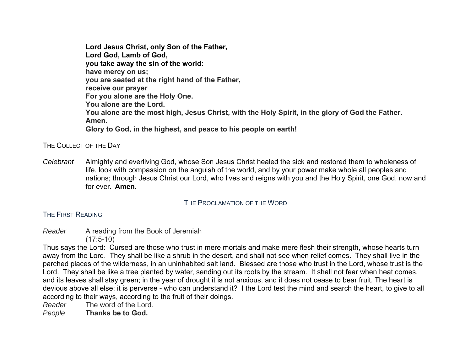**Lord Jesus Christ, only Son of the Father, Lord God, Lamb of God, you take away the sin of the world: have mercy on us; you are seated at the right hand of the Father, receive our prayer For you alone are the Holy One. You alone are the Lord. You alone are the most high, Jesus Christ, with the Holy Spirit, in the glory of God the Father. Amen. Glory to God, in the highest, and peace to his people on earth!** 

THE COLLECT OF THE DAY

*Celebrant* Almighty and everliving God, whose Son Jesus Christ healed the sick and restored them to wholeness of life, look with compassion on the anguish of the world, and by your power make whole all peoples and nations; through Jesus Christ our Lord, who lives and reigns with you and the Holy Spirit, one God, now and for ever. **Amen.**

# THE PROCLAMATION OF THE WORD

# THE FIRST READING

*Reader* A reading from the Book of Jeremiah  $(17:5-10)$ 

Thus says the Lord: Cursed are those who trust in mere mortals and make mere flesh their strength, whose hearts turn away from the Lord. They shall be like a shrub in the desert, and shall not see when relief comes. They shall live in the parched places of the wilderness, in an uninhabited salt land. Blessed are those who trust in the Lord, whose trust is the Lord. They shall be like a tree planted by water, sending out its roots by the stream. It shall not fear when heat comes, and its leaves shall stay green; in the year of drought it is not anxious, and it does not cease to bear fruit. The heart is devious above all else; it is perverse - who can understand it? I the Lord test the mind and search the heart, to give to all according to their ways, according to the fruit of their doings.

*Reader* The word of the Lord.

*People* **Thanks be to God.**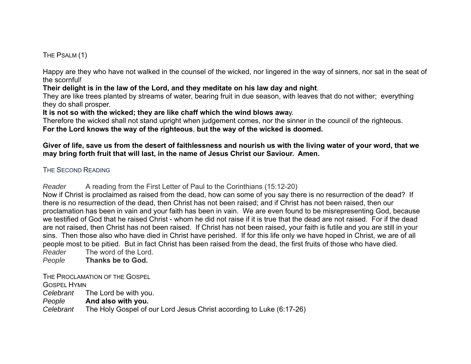THE PSALM (1)

Happy are they who have not walked in the counsel of the wicked, nor lingered in the way of sinners, nor sat in the seat of the scornful!

**Their delight is in the law of the Lord, and they meditate on his law day and night**.

They are like trees planted by streams of water, bearing fruit in due season, with leaves that do not wither; everything they do shall prosper.

**It is not so with the wicked; they are like chaff which the wind blows awa**y.

Therefore the wicked shall not stand upright when judgement comes, nor the sinner in the council of the righteous. **For the Lord knows the way of the righteous**, **but the way of the wicked is doomed.** 

# **Giver of life, save us from the desert of faithlessness and nourish us with the living water of your word, that we may bring forth fruit that will last, in the name of Jesus Christ our Saviour. Amen.**

# THE SECOND READING

*Reader* A reading from the First Letter of Paul to the Corinthians (15:12-20)

Now if Christ is proclaimed as raised from the dead, how can some of you say there is no resurrection of the dead? If there is no resurrection of the dead, then Christ has not been raised; and if Christ has not been raised, then our proclamation has been in vain and your faith has been in vain. We are even found to be misrepresenting God, because we testified of God that he raised Christ - whom he did not raise if it is true that the dead are not raised. For if the deadare not raised, then Christ has not been raised. If Christ has not been raised, your faith is futile and you are still in your sins. Then those also who have died in Christ have perished. If for this life only we have hoped in Christ, we are of all people most to be pitied. But in fact Christ has been raised from the dead, the first fruits of those who have died.

*Reader* The word of the Lord.

*People* **Thanks be to God.** 

THE PROCLAMATION OF THE GOSPEL

GOSPEL HYMN

*Celebrant* The Lord be with you.

*People* **And also with you.**

*Celebrant* The Holy Gospel of our Lord Jesus Christ according to Luke (6:17-26)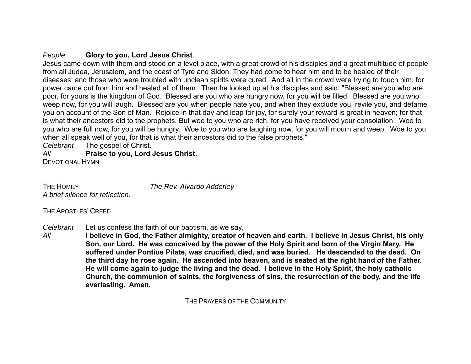# *People* **Glory to you, Lord Jesus Christ**.

Jesus came down with them and stood on a level place, with a great crowd of his disciples and a great multitude of people from all Judea, Jerusalem, and the coast of Tyre and Sidon. They had come to hear him and to be healed of their diseases; and those who were troubled with unclean spirits were cured. And all in the crowd were trying to touch him, for power came out from him and healed all of them. Then he looked up at his disciples and said: "Blessed are you who are poor, for yours is the kingdom of God. Blessed are you who are hungry now, for you will be filled. Blessed are you who weep now, for you will laugh. Blessed are you when people hate you, and when they exclude you, revile you, and defame you on account of the Son of Man. Rejoice in that day and leap for joy, for surely your reward is great in heaven; for that is what their ancestors did to the prophets. But woe to you who are rich, for you have received your consolation. Woe to you who are full now, for you will be hungry. Woe to you who are laughing now, for you will mourn and weep. Woe to you when all speak well of you, for that is what their ancestors did to the false prophets."

*Celebrant* The gospel of Christ.

*All***Praise to you, Lord Jesus Christ.** 

DEVOTIONAL HYMN

THE HOMILY *A brief silence for reflection.* 

*The Rev. Alvardo Adderley* 

THE APOSTLES' CREED

*Celebrant* Let us confess the faith of our baptism, as we say,

*All* **I believe in God, the Father almighty, creator of heaven and earth. I believe in Jesus Christ, his only Son, our Lord. He was conceived by the power of the Holy Spirit and born of the Virgin Mary. He suffered under Pontius Pilate, was crucified, died, and was buried. He descended to the dead. On the third day he rose again. He ascended into heaven, and is seated at the right hand of the Father. He will come again to judge the living and the dead. I believe in the Holy Spirit, the holy catholic Church, the communion of saints, the forgiveness of sins, the resurrection of the body, and the life everlasting. Amen.** 

THE PRAYERS OF THE COMMUNITY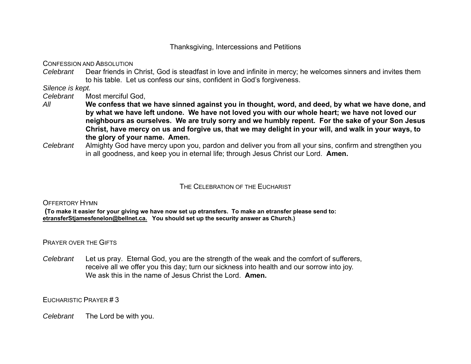Thanksgiving, Intercessions and Petitions

CONFESSION AND ABSOLUTION

*Celebrant* Dear friends in Christ, God is steadfast in love and infinite in mercy; he welcomes sinners and invites them to his table. Let us confess our sins, confident in God's forgiveness.

*Silence is kept.* 

*Celebrant* Most merciful God,

- *All* **We confess that we have sinned against you in thought, word, and deed, by what we have done, and by what we have left undone. We have not loved you with our whole heart; we have not loved our neighbours as ourselves. We are truly sorry and we humbly repent. For the sake of your Son Jesus Christ, have mercy on us and forgive us, that we may delight in your will, and walk in your ways, to the glory of your name. Amen.**
- *Celebrant* Almighty God have mercy upon you, pardon and deliver you from all your sins, confirm and strengthen you in all goodness, and keep you in eternal life; through Jesus Christ our Lord. **Amen.**

# THE CELEBRATION OF THE EUCHARIST

OFFERTORY HYMN

 **(To make it easier for your giving we have now set up etransfers. To make an etransfer please send to: etransferStjamesfenelon@bellnet.ca. You should set up the security answer as Church.)**

PRAYER OVER THE GIFTS

*Celebrant* Let us pray. Eternal God, you are the strength of the weak and the comfort of sufferers, receive all we offer you this day; turn our sickness into health and our sorrow into joy. We ask this in the name of Jesus Christ the Lord. **Amen.**

EUCHARISTIC PRAYER # 3

*Celebrant* The Lord be with you.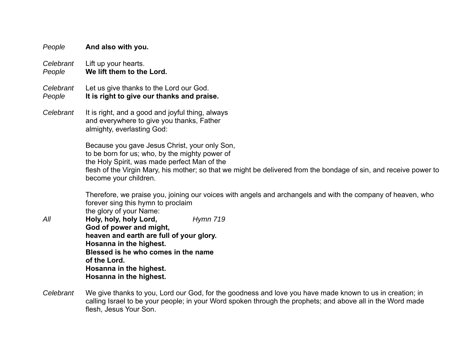| People              | And also with you.                                                                                                                                                                                                                                                                            |
|---------------------|-----------------------------------------------------------------------------------------------------------------------------------------------------------------------------------------------------------------------------------------------------------------------------------------------|
| Celebrant<br>People | Lift up your hearts.<br>We lift them to the Lord.                                                                                                                                                                                                                                             |
| Celebrant<br>People | Let us give thanks to the Lord our God.<br>It is right to give our thanks and praise.                                                                                                                                                                                                         |
| Celebrant           | It is right, and a good and joyful thing, always<br>and everywhere to give you thanks, Father<br>almighty, everlasting God:                                                                                                                                                                   |
|                     | Because you gave Jesus Christ, your only Son,<br>to be born for us; who, by the mighty power of<br>the Holy Spirit, was made perfect Man of the<br>flesh of the Virgin Mary, his mother; so that we might be delivered from the bondage of sin, and receive power to<br>become your children. |
|                     | Therefore, we praise you, joining our voices with angels and archangels and with the company of heaven, who<br>forever sing this hymn to proclaim<br>the glory of your Name:                                                                                                                  |
| All                 | Holy, holy, holy Lord,<br><b>Hymn 719</b><br>God of power and might,<br>heaven and earth are full of your glory.<br>Hosanna in the highest.<br>Blessed is he who comes in the name<br>of the Lord.<br>Hosanna in the highest.<br>Hosanna in the highest.                                      |
| Celebrant           | We give thanks to you, Lord our God, for the goodness and love you have made known to us in creation; in<br>calling Israel to be your people; in your Word spoken through the prophets; and above all in the Word made                                                                        |

flesh, Jesus Your Son.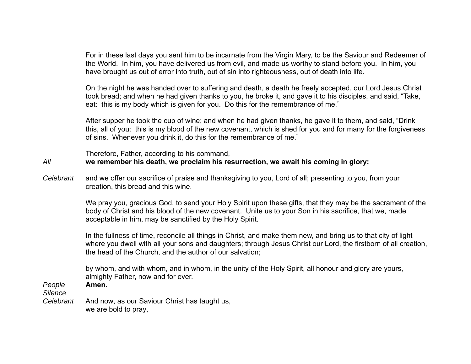For in these last days you sent him to be incarnate from the Virgin Mary, to be the Saviour and Redeemer of the World. In him, you have delivered us from evil, and made us worthy to stand before you. In him, you have brought us out of error into truth, out of sin into righteousness, out of death into life.

On the night he was handed over to suffering and death, a death he freely accepted, our Lord Jesus Christ took bread; and when he had given thanks to you, he broke it, and gave it to his disciples, and said, "Take, eat: this is my body which is given for you. Do this for the remembrance of me."

After supper he took the cup of wine; and when he had given thanks, he gave it to them, and said, "Drink this, all of you: this is my blood of the new covenant, which is shed for you and for many for the forgiveness of sins. Whenever you drink it, do this for the remembrance of me."

Therefore, Father, according to his command,

# *All* **we remember his death, we proclaim his resurrection, we await his coming in glory;**

*Celebrant* and we offer our sacrifice of praise and thanksgiving to you, Lord of all; presenting to you, from your creation, this bread and this wine.

> We pray you, gracious God, to send your Holy Spirit upon these gifts, that they may be the sacrament of the body of Christ and his blood of the new covenant. Unite us to your Son in his sacrifice, that we, made acceptable in him, may be sanctified by the Holy Spirit.

> In the fullness of time, reconcile all things in Christ, and make them new, and bring us to that city of light where you dwell with all your sons and daughters; through Jesus Christ our Lord, the firstborn of all creation, the head of the Church, and the author of our salvation;

by whom, and with whom, and in whom, in the unity of the Holy Spirit, all honour and glory are yours, almighty Father, now and for ever.

*People* **Amen.**

*Silence* 

*Celebrant* And now, as our Saviour Christ has taught us, we are bold to pray,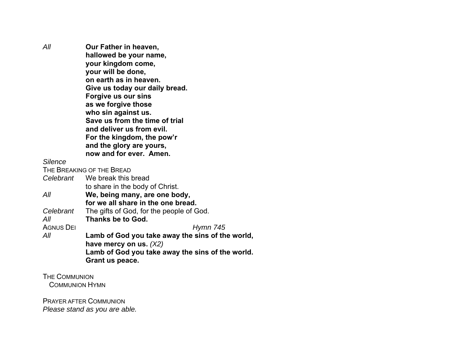*All* **Our Father in heaven, hallowed be your name, your kingdom come, your will be done, on earth as in heaven. Give us today our daily bread. Forgive us our sins as we forgive those who sin against us. Save us from the time of trial and deliver us from evil. For the kingdom, the pow'r and the glory are yours, now and for ever. Amen.** *Silence* 

THE BREAKING OF THE BREAD

*Celebrant* We break this bread to share in the body of Christ. *All* **We, being many, are one body, for we all share in the one bread.** *Celebrant* The gifts of God, for the people of God. *All* **Thanks be to God.** AGNUS DEI *Hymn 745 All* **Lamb of God you take away the sins of the world, have mercy on us.** *(X2)* **Lamb of God you take away the sins of the world. Grant us peace.** 

THE COMMUNIONCOMMUNION HYMN

PRAYER AFTER COMMUNION*Please stand as you are able.*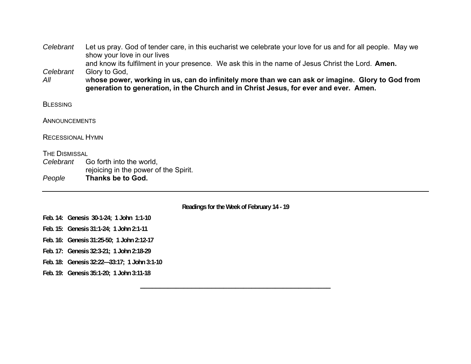| Celebrant               | Let us pray. God of tender care, in this eucharist we celebrate your love for us and for all people. May we<br>show your love in our lives                                                                                                                                                                      |
|-------------------------|-----------------------------------------------------------------------------------------------------------------------------------------------------------------------------------------------------------------------------------------------------------------------------------------------------------------|
| Celebrant<br>All        | and know its fulfilment in your presence. We ask this in the name of Jesus Christ the Lord. Amen.<br>Glory to God,<br>whose power, working in us, can do infinitely more than we can ask or imagine. Glory to God from<br>generation to generation, in the Church and in Christ Jesus, for ever and ever. Amen. |
| <b>BLESSING</b>         |                                                                                                                                                                                                                                                                                                                 |
| ANNOUNCEMENTS           |                                                                                                                                                                                                                                                                                                                 |
| <b>RECESSIONAL HYMN</b> |                                                                                                                                                                                                                                                                                                                 |
| <b>THE DISMISSAL</b>    |                                                                                                                                                                                                                                                                                                                 |
| Celebrant               | Go forth into the world,<br>rejoicing in the power of the Spirit.                                                                                                                                                                                                                                               |
| People                  | Thanks be to God.                                                                                                                                                                                                                                                                                               |
|                         | Readings for the Week of February 14 - 19                                                                                                                                                                                                                                                                       |
|                         | Feb. 14: Genesis 30-1-24; 1 John 1:1-10                                                                                                                                                                                                                                                                         |

**Feb. 15: Genesis 31:1-24; 1 John 2:1-11** 

**Feb. 16: Genesis 31:25-50; 1 John 2:12-17** 

**Feb. 17: Genesis 32:3-21; 1 John 2:18-29** 

**Feb. 18: Genesis 32:22—33:17; 1 John 3:1-10** 

**Feb. 19: Genesis 35:1-20; 1 John 3:11-18**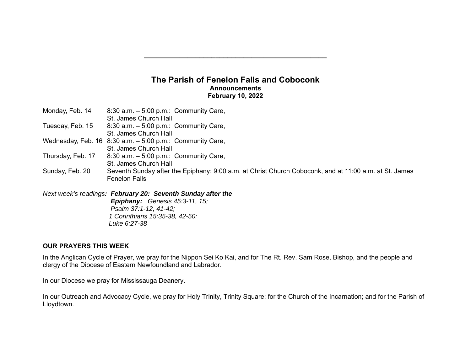# **The Parish of Fenelon Falls and Coboconk Announcements February 10, 2022**

| Monday, Feb. 14    | 8:30 a.m. $-5:00$ p.m.: Community Care,<br>St. James Church Hall                                                                                                                      |
|--------------------|---------------------------------------------------------------------------------------------------------------------------------------------------------------------------------------|
| Tuesday, Feb. 15   | 8:30 a.m. $-5:00$ p.m.: Community Care,<br>St. James Church Hall                                                                                                                      |
| Wednesday, Feb. 16 | 8:30 a.m. $-5:00$ p.m.: Community Care,<br>St. James Church Hall                                                                                                                      |
| Thursday, Feb. 17  | 8:30 a.m. $-5:00$ p.m.: Community Care,<br>St. James Church Hall                                                                                                                      |
| Sunday, Feb. 20    | Seventh Sunday after the Epiphany: 9:00 a.m. at Christ Church Coboconk, and at 11:00 a.m. at St. James<br><b>Fenelon Falls</b>                                                        |
|                    | Next week's readings: February 20: Seventh Sunday after the<br><b>Epiphany:</b> Genesis $45:3-11$ , $15$ ;<br>Psalm 37:1-12, 41-42;<br>1 Corinthians 15:35-38, 42-50;<br>Luke 6:27-38 |

# **OUR PRAYERS THIS WEEK**

In the Anglican Cycle of Prayer, we pray for the Nippon Sei Ko Kai, and for The Rt. Rev. Sam Rose, Bishop, and the people and clergy of the Diocese of Eastern Newfoundland and Labrador.

In our Diocese we pray for Mississauga Deanery.

In our Outreach and Advocacy Cycle, we pray for Holy Trinity, Trinity Square; for the Church of the Incarnation; and for the Parish of Lloydtown.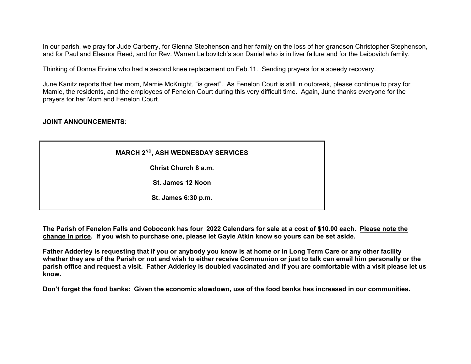In our parish, we pray for Jude Carberry, for Glenna Stephenson and her family on the loss of her grandson Christopher Stephenson, and for Paul and Eleanor Reed, and for Rev. Warren Leibovitch's son Daniel who is in liver failure and for the Leibovitch family.

Thinking of Donna Ervine who had a second knee replacement on Feb.11. Sending prayers for a speedy recovery.

June Kanitz reports that her mom, Mamie McKnight, "is great". As Fenelon Court is still in outbreak, please continue to pray for Mamie, the residents, and the employees of Fenelon Court during this very difficult time. Again, June thanks everyone for the prayers for her Mom and Fenelon Court.

### **JOINT ANNOUNCEMENTS**:

**MARCH 2ND, ASH WEDNESDAY SERVICES** 

**Christ Church 8 a.m.** 

**St. James 12 Noon** 

**St. James 6:30 p.m.** 

**The Parish of Fenelon Falls and Coboconk has four 2022 Calendars for sale at a cost of \$10.00 each. Please note the change in price. If you wish to purchase one, please let Gayle Atkin know so yours can be set aside.** 

**Father Adderley is requesting that if you or anybody you know is at home or in Long Term Care or any other facility whether they are of the Parish or not and wish to either receive Communion or just to talk can email him personally or the parish office and request a visit. Father Adderley is doubled vaccinated and if you are comfortable with a visit please let us know.** 

**Don't forget the food banks: Given the economic slowdown, use of the food banks has increased in our communities.**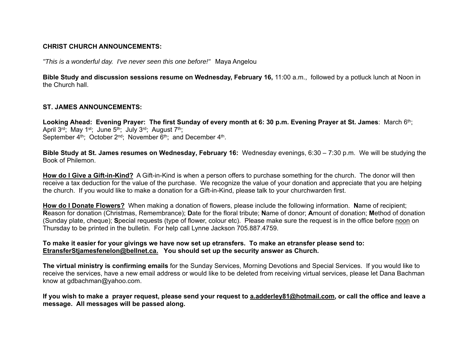### **CHRIST CHURCH ANNOUNCEMENTS:**

*"This is a wonderful day. I've never seen this one before!"* Maya Angelou

**Bible Study and discussion sessions resume on Wednesday, February 16,** 11:00 a.m., followed by a potluck lunch at Noon in the Church hall.

### **ST. JAMES ANNOUNCEMENTS:**

Looking Ahead: Evening Prayer: The first Sunday of every month at 6: 30 p.m. Evening Prayer at St. James: March 6th; April  $3^{rd}$ ; May 1<sup>st</sup>; June  $5^{th}$ ; July  $3^{rd}$ ; August  $7^{th}$ ; September  $4<sup>th</sup>$ ; October 2<sup>nd</sup>; November  $6<sup>th</sup>$ ; and December  $4<sup>th</sup>$ .

**Bible Study at St. James resumes on Wednesday, February 16:** Wednesday evenings, 6:30 – 7:30 p.m. We will be studying the Book of Philemon.

**How do I Give a Gift-in-Kind?** A Gift-in-Kind is when a person offers to purchase something for the church. The donor will then receive a tax deduction for the value of the purchase. We recognize the value of your donation and appreciate that you are helping the church. If you would like to make a donation for a Gift-in-Kind, please talk to your churchwarden first.

**How do I Donate Flowers?** When making a donation of flowers, please include the following information. **N**ame of recipient; **R**eason for donation (Christmas, Remembrance); **D**ate for the floral tribute; **N**ame of donor; **A**mount of donation; **M**ethod of donation (Sunday plate, cheque); **S**pecial requests (type of flower, colour etc). Please make sure the request is in the office before noon on Thursday to be printed in the bulletin. For help call Lynne Jackson 705.887.4759.

### **To make it easier for your givings we have now set up etransfers. To make an etransfer please send to: EtransferStjamesfenelon@bellnet.ca. You should set up the security answer as Church.**

**The virtual ministry is confirming emails** for the Sunday Services, Morning Devotions and Special Services. If you would like to receive the services, have a new email address or would like to be deleted from receiving virtual services, please let Dana Bachman know at gdbachman@yahoo.com.

**If you wish to make a prayer request, please send your request to a.adderley81@hotmail.com, or call the office and leave a message. All messages will be passed along.**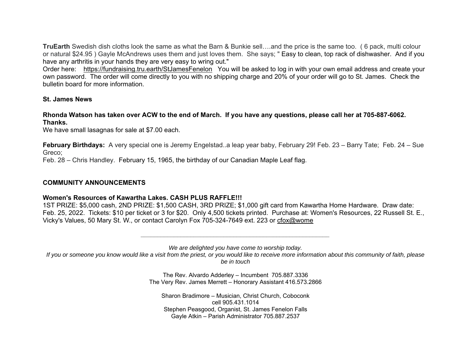**TruEarth** Swedish dish cloths look the same as what the Barn & Bunkie sell….and the price is the same too. ( 6 pack, multi colour or natural \$24.95 ) Gayle McAndrews uses them and just loves them. She says; " Easy to clean, top rack of dishwasher. And if you have any arthritis in your hands they are very easy to wring out."

Order here: https://fundraising.tru.earth/StJamesFenelon You will be asked to log in with your own email address and create your own password. The order will come directly to you with no shipping charge and 20% of your order will go to St. James. Check the bulletin board for more information.

### **St. James News**

**Rhonda Watson has taken over ACW to the end of March. If you have any questions, please call her at 705-887-6062. Thanks.**

We have small lasagnas for sale at \$7.00 each.

**February Birthdays:** A very special one is Jeremy Engelstad..a leap year baby, February 29! Feb. 23 – Barry Tate; Feb. 24 – Sue Greco;

Feb. 28 – Chris Handley. February 15, 1965, the birthday of our Canadian Maple Leaf flag.

# **COMMUNITY ANNOUNCEMENTS**

# **Women's Resources of Kawartha Lakes. CASH PLUS RAFFLE!!!**

1ST PRIZE: \$5,000 cash, 2ND PRIZE: \$1,500 CASH, 3RD PRIZE; \$1,000 gift card from Kawartha Home Hardware. Draw date: Feb. 25, 2022. Tickets: \$10 per ticket or 3 for \$20. Only 4,500 tickets printed. Purchase at: Women's Resources, 22 Russell St. E., Vicky's Values, 50 Mary St. W., or contact Carolyn Fox 705-324-7649 ext. 223 or cfox@wome

> *\_\_\_\_\_\_\_\_\_\_\_\_\_\_\_\_\_\_\_\_\_\_\_\_\_\_\_\_\_\_\_\_\_\_\_\_\_\_\_\_\_\_\_\_\_\_\_\_\_\_\_\_\_\_\_\_\_ We are delighted you have come to worship today.*

*If you or someone you know would like a visit from the priest, or you would like to receive more information about this community of faith, please be in touch* 

> The Rev. Alvardo Adderley – Incumbent 705.887.3336 The Very Rev. James Merrett – Honorary Assistant 416.573.2866

Sharon Bradimore – Musician, Christ Church, Coboconk cell 905.431.1014 Stephen Peasgood, Organist, St. James Fenelon Falls Gayle Atkin – Parish Administrator 705.887.2537